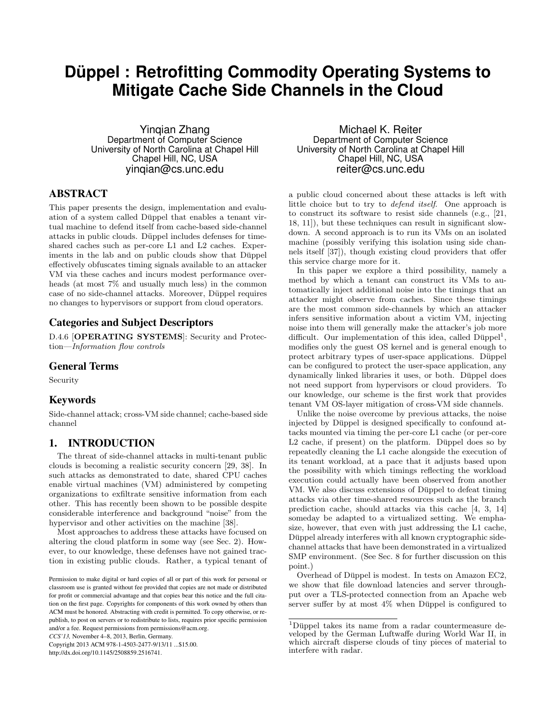# **Düppel : Retrofitting Commodity Operating Systems to Mitigate Cache Side Channels in the Cloud**

Yinqian Zhang Department of Computer Science University of North Carolina at Chapel Hill Chapel Hill, NC, USA yinqian@cs.unc.edu

# ABSTRACT

This paper presents the design, implementation and evaluation of a system called Düppel that enables a tenant virtual machine to defend itself from cache-based side-channel attacks in public clouds. Düppel includes defenses for timeshared caches such as per-core L1 and L2 caches. Experiments in the lab and on public clouds show that Düppel effectively obfuscates timing signals available to an attacker VM via these caches and incurs modest performance overheads (at most 7% and usually much less) in the common case of no side-channel attacks. Moreover, Düppel requires no changes to hypervisors or support from cloud operators.

## Categories and Subject Descriptors

D.4.6 [OPERATING SYSTEMS]: Security and Protection—Information flow controls

#### General Terms

Security

## Keywords

Side-channel attack; cross-VM side channel; cache-based side channel

# 1. INTRODUCTION

The threat of side-channel attacks in multi-tenant public clouds is becoming a realistic security concern [29, 38]. In such attacks as demonstrated to date, shared CPU caches enable virtual machines (VM) administered by competing organizations to exfiltrate sensitive information from each other. This has recently been shown to be possible despite considerable interference and background "noise" from the hypervisor and other activities on the machine [38].

Most approaches to address these attacks have focused on altering the cloud platform in some way (see Sec. 2). However, to our knowledge, these defenses have not gained traction in existing public clouds. Rather, a typical tenant of

*CCS'13,* November 4–8, 2013, Berlin, Germany.

Copyright 2013 ACM 978-1-4503-2477-9/13/11 ...\$15.00.

http://dx.doi.org/10.1145/2508859.2516741.

Michael K. Reiter Department of Computer Science University of North Carolina at Chapel Hill Chapel Hill, NC, USA reiter@cs.unc.edu

a public cloud concerned about these attacks is left with little choice but to try to defend itself. One approach is to construct its software to resist side channels (e.g., [21, 18, 11]), but these techniques can result in significant slowdown. A second approach is to run its VMs on an isolated machine (possibly verifying this isolation using side channels itself [37]), though existing cloud providers that offer this service charge more for it.

In this paper we explore a third possibility, namely a method by which a tenant can construct its VMs to automatically inject additional noise into the timings that an attacker might observe from caches. Since these timings are the most common side-channels by which an attacker infers sensitive information about a victim VM, injecting noise into them will generally make the attacker's job more difficult. Our implementation of this idea, called  $\text{Düppel}^1$ , modifies only the guest OS kernel and is general enough to protect arbitrary types of user-space applications. Düppel can be configured to protect the user-space application, any dynamically linked libraries it uses, or both. Düppel does not need support from hypervisors or cloud providers. To our knowledge, our scheme is the first work that provides tenant VM OS-layer mitigation of cross-VM side channels.

Unlike the noise overcome by previous attacks, the noise injected by Düppel is designed specifically to confound attacks mounted via timing the per-core L1 cache (or per-core  $L2$  cache, if present) on the platform. Duppel does so by repeatedly cleaning the L1 cache alongside the execution of its tenant workload, at a pace that it adjusts based upon the possibility with which timings reflecting the workload execution could actually have been observed from another VM. We also discuss extensions of Düppel to defeat timing attacks via other time-shared resources such as the branch prediction cache, should attacks via this cache [4, 3, 14] someday be adapted to a virtualized setting. We emphasize, however, that even with just addressing the L1 cache, Düppel already interferes with all known cryptographic sidechannel attacks that have been demonstrated in a virtualized SMP environment. (See Sec. 8 for further discussion on this point.)

Overhead of Düppel is modest. In tests on Amazon EC2, we show that file download latencies and server throughput over a TLS-protected connection from an Apache web server suffer by at most  $4\%$  when Düppel is configured to

Permission to make digital or hard copies of all or part of this work for personal or classroom use is granted without fee provided that copies are not made or distributed for profit or commercial advantage and that copies bear this notice and the full citation on the first page. Copyrights for components of this work owned by others than ACM must be honored. Abstracting with credit is permitted. To copy otherwise, or republish, to post on servers or to redistribute to lists, requires prior specific permission and/or a fee. Request permissions from permissions@acm.org.

 $1$ Düppel takes its name from a radar countermeasure developed by the German Luftwaffe during World War II, in which aircraft disperse clouds of tiny pieces of material to interfere with radar.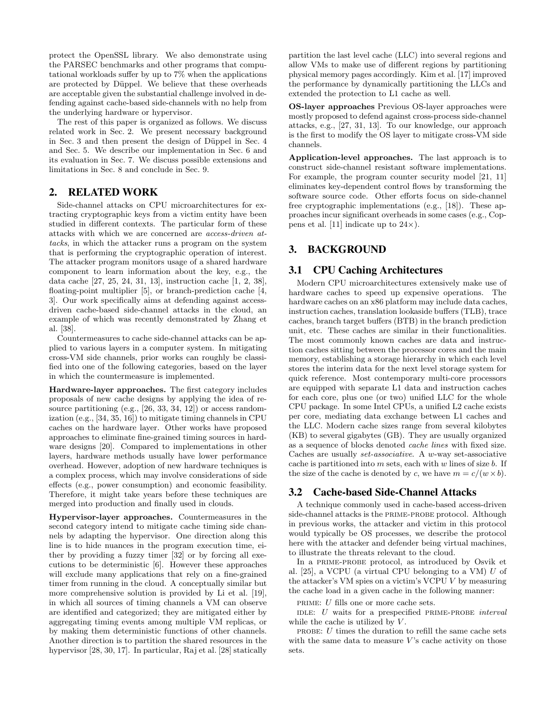protect the OpenSSL library. We also demonstrate using the PARSEC benchmarks and other programs that computational workloads suffer by up to 7% when the applications are protected by Düppel. We believe that these overheads are acceptable given the substantial challenge involved in defending against cache-based side-channels with no help from the underlying hardware or hypervisor.

The rest of this paper is organized as follows. We discuss related work in Sec. 2. We present necessary background in Sec. 3 and then present the design of Düppel in Sec. 4 and Sec. 5. We describe our implementation in Sec. 6 and its evaluation in Sec. 7. We discuss possible extensions and limitations in Sec. 8 and conclude in Sec. 9.

## 2. RELATED WORK

Side-channel attacks on CPU microarchitectures for extracting cryptographic keys from a victim entity have been studied in different contexts. The particular form of these attacks with which we are concerned are access-driven attacks, in which the attacker runs a program on the system that is performing the cryptographic operation of interest. The attacker program monitors usage of a shared hardware component to learn information about the key, e.g., the data cache [27, 25, 24, 31, 13], instruction cache [1, 2, 38], floating-point multiplier [5], or branch-prediction cache [4, 3]. Our work specifically aims at defending against accessdriven cache-based side-channel attacks in the cloud, an example of which was recently demonstrated by Zhang et al. [38].

Countermeasures to cache side-channel attacks can be applied to various layers in a computer system. In mitigating cross-VM side channels, prior works can roughly be classified into one of the following categories, based on the layer in which the countermeasure is implemented.

Hardware-layer approaches. The first category includes proposals of new cache designs by applying the idea of resource partitioning (e.g., [26, 33, 34, 12]) or access randomization (e.g., [34, 35, 16]) to mitigate timing channels in CPU caches on the hardware layer. Other works have proposed approaches to eliminate fine-grained timing sources in hardware designs [20]. Compared to implementations in other layers, hardware methods usually have lower performance overhead. However, adoption of new hardware techniques is a complex process, which may involve considerations of side effects (e.g., power consumption) and economic feasibility. Therefore, it might take years before these techniques are merged into production and finally used in clouds.

Hypervisor-layer approaches. Countermeasures in the second category intend to mitigate cache timing side channels by adapting the hypervisor. One direction along this line is to hide nuances in the program execution time, either by providing a fuzzy timer [32] or by forcing all executions to be deterministic [6]. However these approaches will exclude many applications that rely on a fine-grained timer from running in the cloud. A conceptually similar but more comprehensive solution is provided by Li et al. [19], in which all sources of timing channels a VM can observe are identified and categorized; they are mitigated either by aggregating timing events among multiple VM replicas, or by making them deterministic functions of other channels. Another direction is to partition the shared resources in the hypervisor [28, 30, 17]. In particular, Raj et al. [28] statically

partition the last level cache (LLC) into several regions and allow VMs to make use of different regions by partitioning physical memory pages accordingly. Kim et al. [17] improved the performance by dynamically partitioning the LLCs and extended the protection to L1 cache as well.

OS-layer approaches Previous OS-layer approaches were mostly proposed to defend against cross-process side-channel attacks, e.g., [27, 31, 13]. To our knowledge, our approach is the first to modify the OS layer to mitigate cross-VM side channels.

Application-level approaches. The last approach is to construct side-channel resistant software implementations. For example, the program counter security model [21, 11] eliminates key-dependent control flows by transforming the software source code. Other efforts focus on side-channel free cryptographic implementations (e.g., [18]). These approaches incur significant overheads in some cases (e.g., Coppens et al. [11] indicate up to  $24\times$ ).

# 3. BACKGROUND

## 3.1 CPU Caching Architectures

Modern CPU microarchitectures extensively make use of hardware caches to speed up expensive operations. The hardware caches on an x86 platform may include data caches, instruction caches, translation lookaside buffers (TLB), trace caches, branch target buffers (BTB) in the branch prediction unit, etc. These caches are similar in their functionalities. The most commonly known caches are data and instruction caches sitting between the processor cores and the main memory, establishing a storage hierarchy in which each level stores the interim data for the next level storage system for quick reference. Most contemporary multi-core processors are equipped with separate L1 data and instruction caches for each core, plus one (or two) unified LLC for the whole CPU package. In some Intel CPUs, a unified L2 cache exists per core, mediating data exchange between L1 caches and the LLC. Modern cache sizes range from several kilobytes (KB) to several gigabytes (GB). They are usually organized as a sequence of blocks denoted cache lines with fixed size. Caches are usually set-associative. A w-way set-associative cache is partitioned into  $m$  sets, each with  $w$  lines of size  $b$ . If the size of the cache is denoted by c, we have  $m = c/(w \times b)$ .

#### 3.2 Cache-based Side-Channel Attacks

A technique commonly used in cache-based access-driven side-channel attacks is the prime-probe protocol. Although in previous works, the attacker and victim in this protocol would typically be OS processes, we describe the protocol here with the attacker and defender being virtual machines, to illustrate the threats relevant to the cloud.

In a prime-probe protocol, as introduced by Osvik et al.  $[25]$ , a VCPU (a virtual CPU belonging to a VM) U of the attacker's VM spies on a victim's VCPU V by measuring the cache load in a given cache in the following manner:

prime: U fills one or more cache sets.

IDLE:  $U$  waits for a prespecified PRIME-PROBE interval while the cache is utilized by  $V$ .

PROBE:  $U$  times the duration to refill the same cache sets with the same data to measure  $V$ 's cache activity on those sets.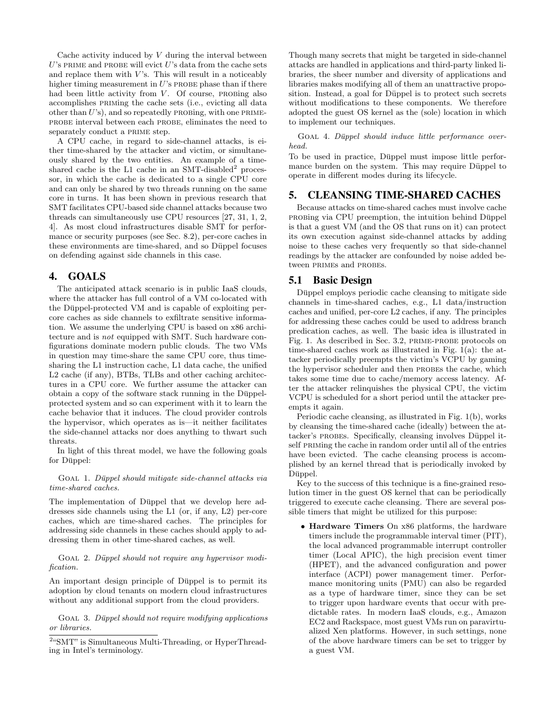Cache activity induced by  $V$  during the interval between  $U$ 's PRIME and PROBE will evict  $U$ 's data from the cache sets and replace them with  $V$ 's. This will result in a noticeably higher timing measurement in  $U$ 's PROBE phase than if there had been little activity from  $V$ . Of course, probing also accomplishes priming the cache sets (i.e., evicting all data other than  $U$ 's), and so repeatedly PROBing, with one PRIMEprobe interval between each probe, eliminates the need to separately conduct a prime step.

A CPU cache, in regard to side-channel attacks, is either time-shared by the attacker and victim, or simultaneously shared by the two entities. An example of a timeshared cache is the L1 cache in an SMT-disabled<sup>2</sup> processor, in which the cache is dedicated to a single CPU core and can only be shared by two threads running on the same core in turns. It has been shown in previous research that SMT facilitates CPU-based side channel attacks because two threads can simultaneously use CPU resources [27, 31, 1, 2, 4]. As most cloud infrastructures disable SMT for performance or security purposes (see Sec. 8.2), per-core caches in these environments are time-shared, and so Düppel focuses on defending against side channels in this case.

## 4. GOALS

The anticipated attack scenario is in public IaaS clouds, where the attacker has full control of a VM co-located with the Düppel-protected VM and is capable of exploiting percore caches as side channels to exfiltrate sensitive information. We assume the underlying CPU is based on x86 architecture and is not equipped with SMT. Such hardware configurations dominate modern public clouds. The two VMs in question may time-share the same CPU core, thus timesharing the L1 instruction cache, L1 data cache, the unified L2 cache (if any), BTBs, TLBs and other caching architectures in a CPU core. We further assume the attacker can obtain a copy of the software stack running in the Düppelprotected system and so can experiment with it to learn the cache behavior that it induces. The cloud provider controls the hypervisor, which operates as is—it neither facilitates the side-channel attacks nor does anything to thwart such threats.

In light of this threat model, we have the following goals for Düppel:

GOAL 1. Düppel should mitigate side-channel attacks via time-shared caches.

The implementation of Düppel that we develop here addresses side channels using the L1 (or, if any, L2) per-core caches, which are time-shared caches. The principles for addressing side channels in these caches should apply to addressing them in other time-shared caches, as well.

GOAL 2. Düppel should not require any hypervisor modification.

An important design principle of Düppel is to permit its adoption by cloud tenants on modern cloud infrastructures without any additional support from the cloud providers.

GOAL 3. Düppel should not require modifying applications or libraries.

Though many secrets that might be targeted in side-channel attacks are handled in applications and third-party linked libraries, the sheer number and diversity of applications and libraries makes modifying all of them an unattractive proposition. Instead, a goal for Düppel is to protect such secrets without modifications to these components. We therefore adopted the guest OS kernel as the (sole) location in which to implement our techniques.

GOAL 4. Düppel should induce little performance overhead.

To be used in practice, Düppel must impose little performance burden on the system. This may require Düppel to operate in different modes during its lifecycle.

# 5. CLEANSING TIME-SHARED CACHES

Because attacks on time-shared caches must involve cache probing via CPU preemption, the intuition behind Duppel ¨ is that a guest VM (and the OS that runs on it) can protect its own execution against side-channel attacks by adding noise to these caches very frequently so that side-channel readings by the attacker are confounded by noise added between PRIMES and PROBES.

#### 5.1 Basic Design

Düppel employs periodic cache cleansing to mitigate side channels in time-shared caches, e.g., L1 data/instruction caches and unified, per-core L2 caches, if any. The principles for addressing these caches could be used to address branch predication caches, as well. The basic idea is illustrated in Fig. 1. As described in Sec. 3.2, PRIME-PROBE protocols on time-shared caches work as illustrated in Fig. 1(a): the attacker periodically preempts the victim's VCPU by gaming the hypervisor scheduler and then PROBEs the cache, which takes some time due to cache/memory access latency. After the attacker relinquishes the physical CPU, the victim VCPU is scheduled for a short period until the attacker preempts it again.

Periodic cache cleansing, as illustrated in Fig. 1(b), works by cleansing the time-shared cache (ideally) between the attacker's PROBEs. Specifically, cleansing involves Düppel itself PRIMing the cache in random order until all of the entries have been evicted. The cache cleansing process is accomplished by an kernel thread that is periodically invoked by Diippel.

Key to the success of this technique is a fine-grained resolution timer in the guest OS kernel that can be periodically triggered to execute cache cleansing. There are several possible timers that might be utilized for this purpose:

• Hardware Timers On x86 platforms, the hardware timers include the programmable interval timer (PIT), the local advanced programmable interrupt controller timer (Local APIC), the high precision event timer (HPET), and the advanced configuration and power interface (ACPI) power management timer. Performance monitoring units (PMU) can also be regarded as a type of hardware timer, since they can be set to trigger upon hardware events that occur with predictable rates. In modern IaaS clouds, e.g., Amazon EC2 and Rackspace, most guest VMs run on paravirtualized Xen platforms. However, in such settings, none of the above hardware timers can be set to trigger by a guest VM.

<sup>&</sup>lt;sup>2</sup>"SMT" is Simultaneous Multi-Threading, or HyperThreading in Intel's terminology.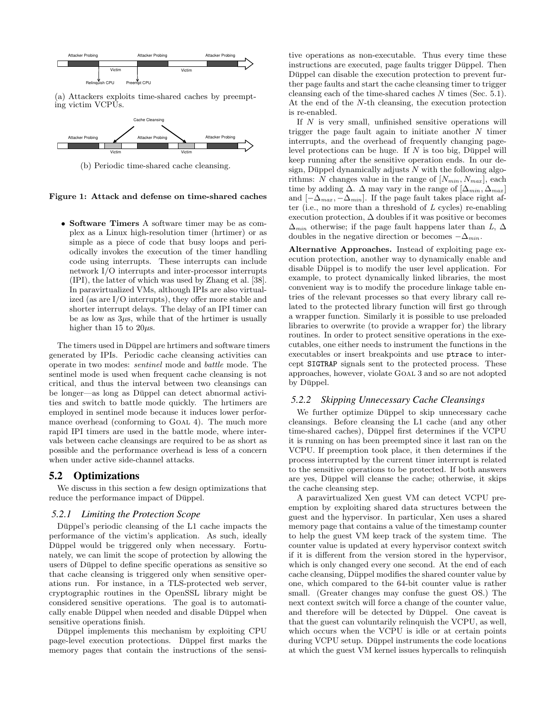

(a) Attackers exploits time-shared caches by preempting victim VCPUs.



(b) Periodic time-shared cache cleansing.

Figure 1: Attack and defense on time-shared caches

• Software Timers A software timer may be as complex as a Linux high-resolution timer (hrtimer) or as simple as a piece of code that busy loops and periodically invokes the execution of the timer handling code using interrupts. These interrupts can include network I/O interrupts and inter-processor interrupts (IPI), the latter of which was used by Zhang et al. [38]. In paravirtualized VMs, although IPIs are also virtualized (as are I/O interrupts), they offer more stable and shorter interrupt delays. The delay of an IPI timer can be as low as  $3\mu s$ , while that of the hrtimer is usually higher than 15 to  $20\mu s$ .

The timers used in Düppel are hrtimers and software timers generated by IPIs. Periodic cache cleansing activities can operate in two modes: sentinel mode and battle mode. The sentinel mode is used when frequent cache cleansing is not critical, and thus the interval between two cleansings can be longer—as long as Düppel can detect abnormal activities and switch to battle mode quickly. The hrtimers are employed in sentinel mode because it induces lower performance overhead (conforming to GOAL 4). The much more rapid IPI timers are used in the battle mode, where intervals between cache cleansings are required to be as short as possible and the performance overhead is less of a concern when under active side-channel attacks.

#### 5.2 Optimizations

We discuss in this section a few design optimizations that reduce the performance impact of Düppel.

#### *5.2.1 Limiting the Protection Scope*

Düppel's periodic cleansing of the L1 cache impacts the performance of the victim's application. As such, ideally Düppel would be triggered only when necessary. Fortunately, we can limit the scope of protection by allowing the users of Düppel to define specific operations as sensitive so that cache cleansing is triggered only when sensitive operations run. For instance, in a TLS-protected web server, cryptographic routines in the OpenSSL library might be considered sensitive operations. The goal is to automatically enable Düppel when needed and disable Düppel when sensitive operations finish.

Düppel implements this mechanism by exploiting CPU page-level execution protections. Duppel first marks the memory pages that contain the instructions of the sensitive operations as non-executable. Thus every time these instructions are executed, page faults trigger Düppel. Then Düppel can disable the execution protection to prevent further page faults and start the cache cleansing timer to trigger cleansing each of the time-shared caches N times (Sec. 5.1). At the end of the N-th cleansing, the execution protection is re-enabled.

If  $N$  is very small, unfinished sensitive operations will trigger the page fault again to initiate another N timer interrupts, and the overhead of frequently changing pagelevel protections can be huge. If  $N$  is too big, Düppel will keep running after the sensitive operation ends. In our design, Düppel dynamically adjusts  $N$  with the following algorithms: N changes value in the range of  $[N_{min}, N_{max}]$ , each time by adding  $\Delta$ .  $\Delta$  may vary in the range of  $[\Delta_{min}, \Delta_{max}]$ and  $[-\Delta_{max}, -\Delta_{min}]$ . If the page fault takes place right after (i.e., no more than a threshold of  $L$  cycles) re-enabling execution protection,  $\Delta$  doubles if it was positive or becomes  $\Delta_{min}$  otherwise; if the page fault happens later than L,  $\Delta$ doubles in the negative direction or becomes  $-\Delta_{min}$ .

Alternative Approaches. Instead of exploiting page execution protection, another way to dynamically enable and disable Düppel is to modify the user level application. For example, to protect dynamically linked libraries, the most convenient way is to modify the procedure linkage table entries of the relevant processes so that every library call related to the protected library function will first go through a wrapper function. Similarly it is possible to use preloaded libraries to overwrite (to provide a wrapper for) the library routines. In order to protect sensitive operations in the executables, one either needs to instrument the functions in the executables or insert breakpoints and use ptrace to intercept SIGTRAP signals sent to the protected process. These approaches, however, violate Goal 3 and so are not adopted by Düppel.

#### *5.2.2 Skipping Unnecessary Cache Cleansings*

We further optimize Düppel to skip unnecessary cache cleansings. Before cleansing the L1 cache (and any other time-shared caches), Düppel first determines if the VCPU it is running on has been preempted since it last ran on the VCPU. If preemption took place, it then determines if the process interrupted by the current timer interrupt is related to the sensitive operations to be protected. If both answers are yes, Düppel will cleanse the cache; otherwise, it skips the cache cleansing step.

A paravirtualized Xen guest VM can detect VCPU preemption by exploiting shared data structures between the guest and the hypervisor. In particular, Xen uses a shared memory page that contains a value of the timestamp counter to help the guest VM keep track of the system time. The counter value is updated at every hypervisor context switch if it is different from the version stored in the hypervisor, which is only changed every one second. At the end of each cache cleansing, Düppel modifies the shared counter value by one, which compared to the 64-bit counter value is rather small. (Greater changes may confuse the guest OS.) The next context switch will force a change of the counter value, and therefore will be detected by Düppel. One caveat is that the guest can voluntarily relinquish the VCPU, as well, which occurs when the VCPU is idle or at certain points during VCPU setup. Düppel instruments the code locations at which the guest VM kernel issues hypercalls to relinquish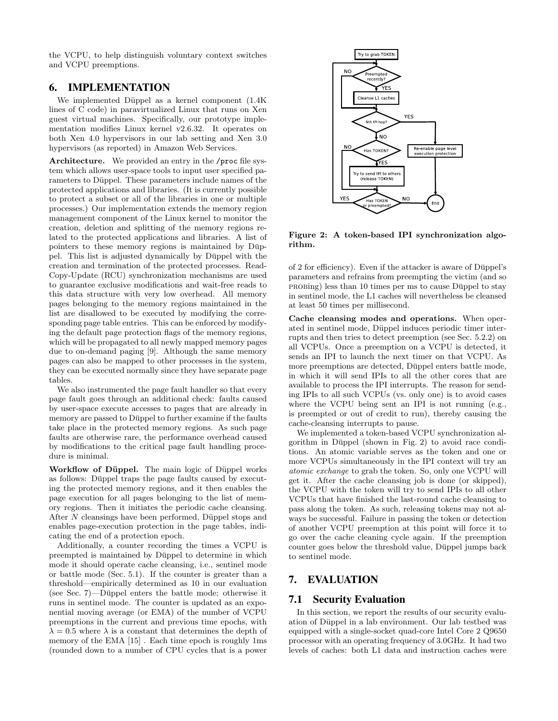the VCPU, to help distinguish voluntary context switches and VCPU preemptions.

# 6. IMPLEMENTATION

We implemented Düppel as a kernel component (1.4K) lines of C code) in paravirtualized Linux that runs on Xen guest virtual machines. Specifically, our prototype implementation modifies Linux kernel v2.6.32. It operates on both Xen 4.0 hypervisors in our lab setting and Xen 3.0 hypervisors (as reported) in Amazon Web Services.

Architecture. We provided an entry in the /proc file system which allows user-space tools to input user specified parameters to Düppel. These parameters include names of the protected applications and libraries. (It is currently possible to protect a subset or all of the libraries in one or multiple processes.) Our implementation extends the memory region management component of the Linux kernel to monitor the creation, deletion and splitting of the memory regions related to the protected applications and libraries. A list of pointers to these memory regions is maintained by Düppel. This list is adjusted dynamically by Düppel with the creation and termination of the protected processes. Read-Copy-Update (RCU) synchronization mechanisms are used to guarantee exclusive modifications and wait-free reads to this data structure with very low overhead. All memory pages belonging to the memory regions maintained in the list are disallowed to be executed by modifying the corresponding page table entries. This can be enforced by modifying the default page protection flags of the memory regions, which will be propagated to all newly mapped memory pages due to on-demand paging [9]. Although the same memory pages can also be mapped to other processes in the system, they can be executed normally since they have separate page tables.

We also instrumented the page fault handler so that every page fault goes through an additional check: faults caused by user-space execute accesses to pages that are already in memory are passed to Düppel to further examine if the faults take place in the protected memory regions. As such page faults are otherwise rare, the performance overhead caused by modifications to the critical page fault handling procedure is minimal.

Workflow of Düppel. The main logic of Düppel works as follows: Düppel traps the page faults caused by executing the protected memory regions, and it then enables the page execution for all pages belonging to the list of memory regions. Then it initiates the periodic cache cleansing. After  $N$  cleansings have been performed, Düppel stops and enables page-execution protection in the page tables, indicating the end of a protection epoch.

Additionally, a counter recording the times a VCPU is preempted is maintained by Düppel to determine in which mode it should operate cache cleansing, i.e., sentinel mode or battle mode (Sec. 5.1). If the counter is greater than a threshold—empirically determined as 10 in our evaluation (see Sec. 7)—Duppel enters the battle mode; otherwise it runs in sentinel mode. The counter is updated as an exponential moving average (or EMA) of the number of VCPU preemptions in the current and previous time epochs, with  $\lambda = 0.5$  where  $\lambda$  is a constant that determines the depth of memory of the EMA [15] . Each time epoch is roughly 1ms (rounded down to a number of CPU cycles that is a power



Figure 2: A token-based IPI synchronization algorithm.

of 2 for efficiency). Even if the attacker is aware of Düppel's parameters and refrains from preempting the victim (and so probing) less than 10 times per ms to cause Duppel to stay ¨ in sentinel mode, the L1 caches will nevertheless be cleansed at least 50 times per millisecond.

Cache cleansing modes and operations. When operated in sentinel mode, Düppel induces periodic timer interrupts and then tries to detect preemption (see Sec. 5.2.2) on all VCPUs. Once a preemption on a VCPU is detected, it sends an IPI to launch the next timer on that VCPU. As more preemptions are detected, Düppel enters battle mode, in which it will send IPIs to all the other cores that are available to process the IPI interrupts. The reason for sending IPIs to all such VCPUs (vs. only one) is to avoid cases where the VCPU being sent an IPI is not running (e.g., is preempted or out of credit to run), thereby causing the cache-cleansing interrupts to pause.

We implemented a token-based VCPU synchronization algorithm in Düppel (shown in Fig. 2) to avoid race conditions. An atomic variable serves as the token and one or more VCPUs simultaneously in the IPI context will try an atomic exchange to grab the token. So, only one VCPU will get it. After the cache cleansing job is done (or skipped), the VCPU with the token will try to send IPIs to all other VCPUs that have finished the last-round cache cleansing to pass along the token. As such, releasing tokens may not always be successful. Failure in passing the token or detection of another VCPU preemption at this point will force it to go over the cache cleaning cycle again. If the preemption counter goes below the threshold value, Düppel jumps back to sentinel mode.

# 7. EVALUATION

#### 7.1 Security Evaluation

In this section, we report the results of our security evaluation of Duppel in a lab environment. Our lab testbed was ¨ equipped with a single-socket quad-core Intel Core 2 Q9650 processor with an operating frequency of 3.0GHz. It had two levels of caches: both L1 data and instruction caches were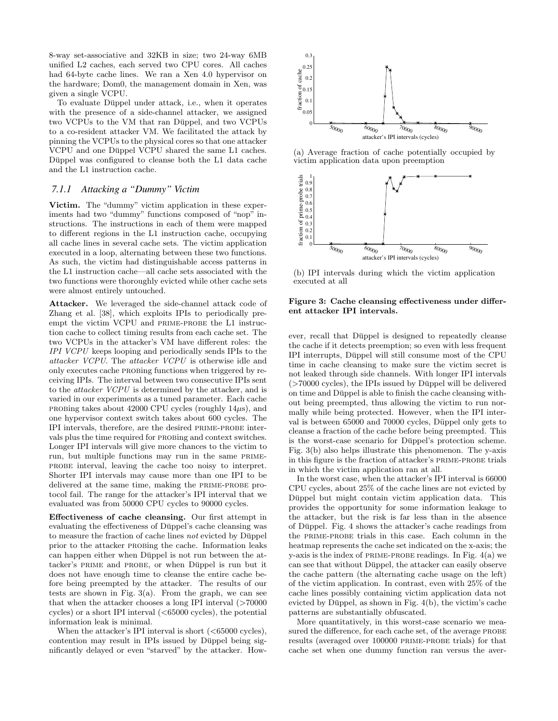8-way set-associative and 32KB in size; two 24-way 6MB unified L2 caches, each served two CPU cores. All caches had 64-byte cache lines. We ran a Xen 4.0 hypervisor on the hardware; Dom0, the management domain in Xen, was given a single VCPU.

To evaluate Düppel under attack, i.e., when it operates with the presence of a side-channel attacker, we assigned two VCPUs to the VM that ran Düppel, and two VCPUs to a co-resident attacker VM. We facilitated the attack by pinning the VCPUs to the physical cores so that one attacker VCPU and one Düppel VCPU shared the same L1 caches. Düppel was configured to cleanse both the L1 data cache and the L1 instruction cache.

#### *7.1.1 Attacking a "Dummy" Victim*

Victim. The "dummy" victim application in these experiments had two "dummy" functions composed of "nop" instructions. The instructions in each of them were mapped to different regions in the L1 instruction cache, occupying all cache lines in several cache sets. The victim application executed in a loop, alternating between these two functions. As such, the victim had distinguishable access patterns in the L1 instruction cache—all cache sets associated with the two functions were thoroughly evicted while other cache sets were almost entirely untouched.

Attacker. We leveraged the side-channel attack code of Zhang et al. [38], which exploits IPIs to periodically preempt the victim VCPU and prime-probe the L1 instruction cache to collect timing results from each cache set. The two VCPUs in the attacker's VM have different roles: the IPI VCPU keeps looping and periodically sends IPIs to the attacker VCPU. The attacker VCPU is otherwise idle and only executes cache probing functions when triggered by receiving IPIs. The interval between two consecutive IPIs sent to the attacker VCPU is determined by the attacker, and is varied in our experiments as a tuned parameter. Each cache probing takes about 42000 CPU cycles (roughly  $14\mu$ s), and one hypervisor context switch takes about 600 cycles. The IPI intervals, therefore, are the desired prime-probe intervals plus the time required for probing and context switches. Longer IPI intervals will give more chances to the victim to run, but multiple functions may run in the same primeprobe interval, leaving the cache too noisy to interpret. Shorter IPI intervals may cause more than one IPI to be delivered at the same time, making the prime-probe protocol fail. The range for the attacker's IPI interval that we evaluated was from 50000 CPU cycles to 90000 cycles.

Effectiveness of cache cleansing. Our first attempt in evaluating the effectiveness of Düppel's cache cleansing was to measure the fraction of cache lines not evicted by Düppel prior to the attacker probing the cache. Information leaks can happen either when Düppel is not run between the attacker's PRIME and PROBE, or when Düppel is run but it does not have enough time to cleanse the entire cache before being preempted by the attacker. The results of our tests are shown in Fig.  $3(a)$ . From the graph, we can see that when the attacker chooses a long IPI interval (>70000 cycles) or a short IPI interval (<65000 cycles), the potential information leak is minimal.

When the attacker's IPI interval is short  $( $65000 \text{ cycles}$ ),$ contention may result in IPIs issued by Düppel being significantly delayed or even "starved" by the attacker. How-



(a) Average fraction of cache potentially occupied by victim application data upon preemption



(b) IPI intervals during which the victim application executed at all

#### Figure 3: Cache cleansing effectiveness under different attacker IPI intervals.

ever, recall that Düppel is designed to repeatedly cleanse the cache if it detects preemption; so even with less frequent IPI interrupts, Duppel will still consume most of the CPU ¨ time in cache cleansing to make sure the victim secret is not leaked through side channels. With longer IPI intervals  $($ >70000 cycles), the IPIs issued by Düppel will be delivered on time and Düppel is able to finish the cache cleansing without being preempted, thus allowing the victim to run normally while being protected. However, when the IPI interval is between 65000 and 70000 cycles, Düppel only gets to cleanse a fraction of the cache before being preempted. This is the worst-case scenario for Düppel's protection scheme. Fig. 3(b) also helps illustrate this phenomenon. The y-axis in this figure is the fraction of attacker's prime-probe trials in which the victim application ran at all.

In the worst case, when the attacker's IPI interval is 66000 CPU cycles, about 25% of the cache lines are not evicted by Düppel but might contain victim application data. This provides the opportunity for some information leakage to the attacker, but the risk is far less than in the absence of Düppel. Fig. 4 shows the attacker's cache readings from the prime-probe trials in this case. Each column in the heatmap represents the cache set indicated on the x-axis; the y-axis is the index of prime-probe readings. In Fig. 4(a) we can see that without Düppel, the attacker can easily observe the cache pattern (the alternating cache usage on the left) of the victim application. In contrast, even with 25% of the cache lines possibly containing victim application data not evicted by Düppel, as shown in Fig.  $4(b)$ , the victim's cache patterns are substantially obfuscated.

More quantitatively, in this worst-case scenario we measured the difference, for each cache set, of the average PROBE results (averaged over 100000 prime-probe trials) for that cache set when one dummy function ran versus the aver-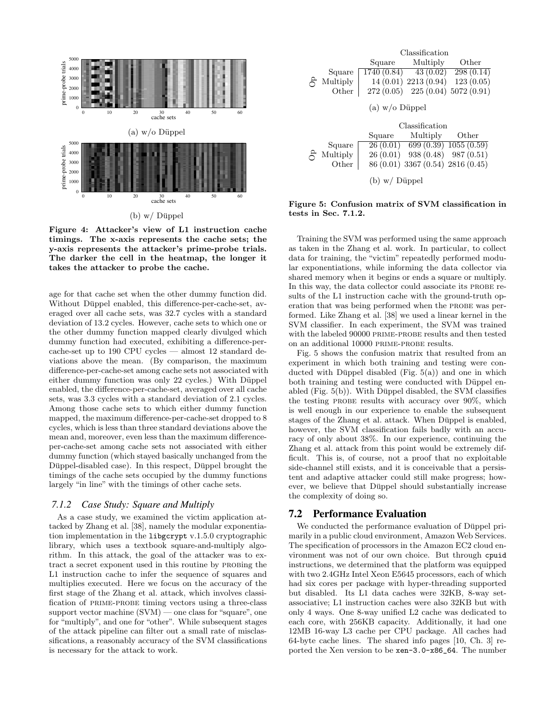

 $(b) w/D$ üppel

Figure 4: Attacker's view of L1 instruction cache timings. The x-axis represents the cache sets; the y-axis represents the attacker's prime-probe trials. The darker the cell in the heatmap, the longer it takes the attacker to probe the cache.

age for that cache set when the other dummy function did. Without Düppel enabled, this difference-per-cache-set, averaged over all cache sets, was 32.7 cycles with a standard deviation of 13.2 cycles. However, cache sets to which one or the other dummy function mapped clearly divulged which dummy function had executed, exhibiting a difference-percache-set up to 190 CPU cycles — almost 12 standard deviations above the mean. (By comparison, the maximum difference-per-cache-set among cache sets not associated with either dummy function was only  $22$  cycles.) With Düppel enabled, the difference-per-cache-set, averaged over all cache sets, was 3.3 cycles with a standard deviation of 2.1 cycles. Among those cache sets to which either dummy function mapped, the maximum difference-per-cache-set dropped to 8 cycles, which is less than three standard deviations above the mean and, moreover, even less than the maximum differenceper-cache-set among cache sets not associated with either dummy function (which stayed basically unchanged from the Düppel-disabled case). In this respect, Düppel brought the timings of the cache sets occupied by the dummy functions largely "in line" with the timings of other cache sets.

#### *7.1.2 Case Study: Square and Multiply*

As a case study, we examined the victim application attacked by Zhang et al. [38], namely the modular exponentiation implementation in the libgcrypt v.1.5.0 cryptographic library, which uses a textbook square-and-multiply algorithm. In this attack, the goal of the attacker was to extract a secret exponent used in this routine by probing the L1 instruction cache to infer the sequence of squares and multiplies executed. Here we focus on the accuracy of the first stage of the Zhang et al. attack, which involves classification of prime-probe timing vectors using a three-class support vector machine (SVM) — one class for "square", one for "multiply", and one for "other". While subsequent stages of the attack pipeline can filter out a small rate of misclassifications, a reasonably accuracy of the SVM classifications is necessary for the attack to work.

|                  | Square<br>Multiply<br>Other |                | Classification<br>Square Multiply<br>$1740(0.84)$ 43 (0.02)<br>$14(0.01)$ 2213 $(0.94)$<br>$272(0.05)$ $225(0.04)$ $5072(0.91)$ | Other<br>298(0.14)<br>123(0.05) |
|------------------|-----------------------------|----------------|---------------------------------------------------------------------------------------------------------------------------------|---------------------------------|
| (a) $w/o$ Düppel |                             |                |                                                                                                                                 |                                 |
|                  |                             | Classification |                                                                                                                                 |                                 |
|                  |                             | Square         | Multiply                                                                                                                        | Other                           |
|                  | Square                      |                | $26(0.01)$ 699 $(0.39)$ 1055 $(0.59)$                                                                                           |                                 |
|                  | Multiply                    | 26(0.01)       |                                                                                                                                 | $938(0.48)$ $987(0.51)$         |
|                  | Other                       |                | 86 (0.01) 3367 (0.54) 2816 (0.45)                                                                                               |                                 |
|                  | (b) $w/D$ uppel             |                |                                                                                                                                 |                                 |

Figure 5: Confusion matrix of SVM classification in tests in Sec. 7.1.2.

Training the SVM was performed using the same approach as taken in the Zhang et al. work. In particular, to collect data for training, the "victim" repeatedly performed modular exponentiations, while informing the data collector via shared memory when it begins or ends a square or multiply. In this way, the data collector could associate its PROBE results of the L1 instruction cache with the ground-truth operation that was being performed when the probe was performed. Like Zhang et al. [38] we used a linear kernel in the SVM classifier. In each experiment, the SVM was trained with the labeled 90000 prime-probe results and then tested on an additional 10000 prime-probe results.

Fig. 5 shows the confusion matrix that resulted from an experiment in which both training and testing were conducted with Düppel disabled (Fig.  $5(a)$ ) and one in which both training and testing were conducted with Düppel enabled (Fig.  $5(b)$ ). With Düppel disabled, the SVM classifies the testing probe results with accuracy over 90%, which is well enough in our experience to enable the subsequent stages of the Zhang et al. attack. When Düppel is enabled, however, the SVM classification fails badly with an accuracy of only about 38%. In our experience, continuing the Zhang et al. attack from this point would be extremely difficult. This is, of course, not a proof that no exploitable side-channel still exists, and it is conceivable that a persistent and adaptive attacker could still make progress; however, we believe that Düppel should substantially increase the complexity of doing so.

#### 7.2 Performance Evaluation

We conducted the performance evaluation of Düppel primarily in a public cloud environment, Amazon Web Services. The specification of processors in the Amazon EC2 cloud environment was not of our own choice. But through cpuid instructions, we determined that the platform was equipped with two 2.4GHz Intel Xeon E5645 processors, each of which had six cores per package with hyper-threading supported but disabled. Its L1 data caches were 32KB, 8-way setassociative; L1 instruction caches were also 32KB but with only 4 ways. One 8-way unified L2 cache was dedicated to each core, with 256KB capacity. Additionally, it had one 12MB 16-way L3 cache per CPU package. All caches had 64-byte cache lines. The shared info pages [10, Ch. 3] reported the Xen version to be xen-3.0-x86\_64. The number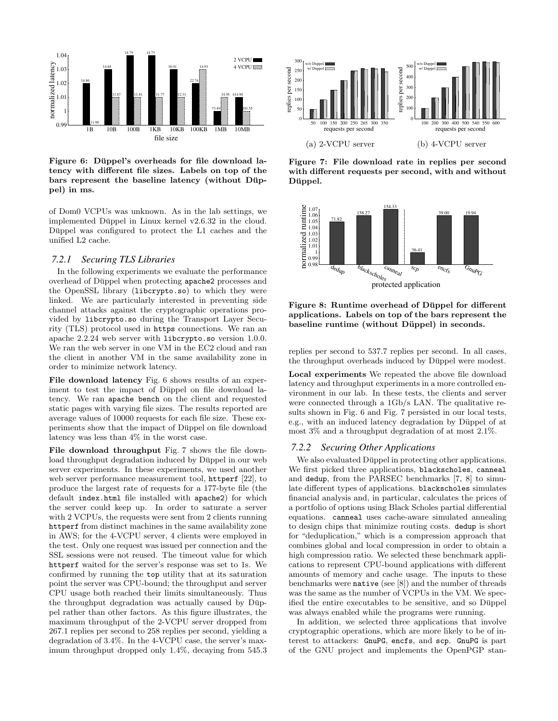

Figure 6: Düppel's overheads for file download latency with different file sizes. Labels on top of the bars represent the baseline latency (without Düppel) in ms.

of Dom0 VCPUs was unknown. As in the lab settings, we implemented Düppel in Linux kernel  $v2.6.32$  in the cloud. Duppel was configured to protect the L1 caches and the unified L2 cache.

#### *7.2.1 Securing TLS Libraries*

In the following experiments we evaluate the performance overhead of Düppel when protecting apache2 processes and the OpenSSL library (libcrypto.so) to which they were linked. We are particularly interested in preventing side channel attacks against the cryptographic operations provided by libcrypto.so during the Transport Layer Security (TLS) protocol used in https connections. We ran an apache 2.2.24 web server with libcrypto.so version 1.0.0. We ran the web server in one VM in the EC2 cloud and ran the client in another VM in the same availability zone in order to minimize network latency.

File download latency Fig. 6 shows results of an experiment to test the impact of Düppel on file download latency. We ran apache bench on the client and requested static pages with varying file sizes. The results reported are average values of 10000 requests for each file size. These experiments show that the impact of Düppel on file download latency was less than 4% in the worst case.

File download throughput Fig. 7 shows the file download throughput degradation induced by Düppel in our web server experiments. In these experiments, we used another web server performance measurement tool, httperf [22], to produce the largest rate of requests for a 177-byte file (the default index.html file installed with apache2) for which the server could keep up. In order to saturate a server with 2 VCPUs, the requests were sent from 2 clients running httperf from distinct machines in the same availability zone in AWS; for the 4-VCPU server, 4 clients were employed in the test. Only one request was issued per connection and the SSL sessions were not reused. The timeout value for which httperf waited for the server's response was set to 1s. We confirmed by running the top utility that at its saturation point the server was CPU-bound; the throughput and server CPU usage both reached their limits simultaneously. Thus the throughput degradation was actually caused by Düppel rather than other factors. As this figure illustrates, the maximum throughput of the 2-VCPU server dropped from 267.1 replies per second to 258 replies per second, yielding a degradation of 3.4%. In the 4-VCPU case, the server's maximum throughput dropped only 1.4%, decaying from 545.3



Figure 7: File download rate in replies per second with different requests per second, with and without Düppel.



Figure 8: Runtime overhead of Düppel for different applications. Labels on top of the bars represent the baseline runtime (without Düppel) in seconds.

replies per second to 537.7 replies per second. In all cases, the throughput overheads induced by Düppel were modest.

Local experiments We repeated the above file download latency and throughput experiments in a more controlled environment in our lab. In these tests, the clients and server were connected through a 1Gb/s LAN. The qualitative results shown in Fig. 6 and Fig. 7 persisted in our local tests, e.g., with an induced latency degradation by Düppel of at most 3% and a throughput degradation of at most 2.1%.

#### *7.2.2 Securing Other Applications*

We also evaluated Düppel in protecting other applications. We first picked three applications, blackscholes, canneal and dedup, from the PARSEC benchmarks [7, 8] to simulate different types of applications. blackscholes simulates financial analysis and, in particular, calculates the prices of a portfolio of options using Black Scholes partial differential equations. canneal uses cache-aware simulated annealing to design chips that minimize routing costs. dedup is short for "deduplication," which is a compression approach that combines global and local compression in order to obtain a high compression ratio. We selected these benchmark applications to represent CPU-bound applications with different amounts of memory and cache usage. The inputs to these benchmarks were native (see [8]) and the number of threads was the same as the number of VCPUs in the VM. We specified the entire executables to be sensitive, and so Düppel was always enabled while the programs were running.

In addition, we selected three applications that involve cryptographic operations, which are more likely to be of interest to attackers: GnuPG, encfs, and scp. GnuPG is part of the GNU project and implements the OpenPGP stan-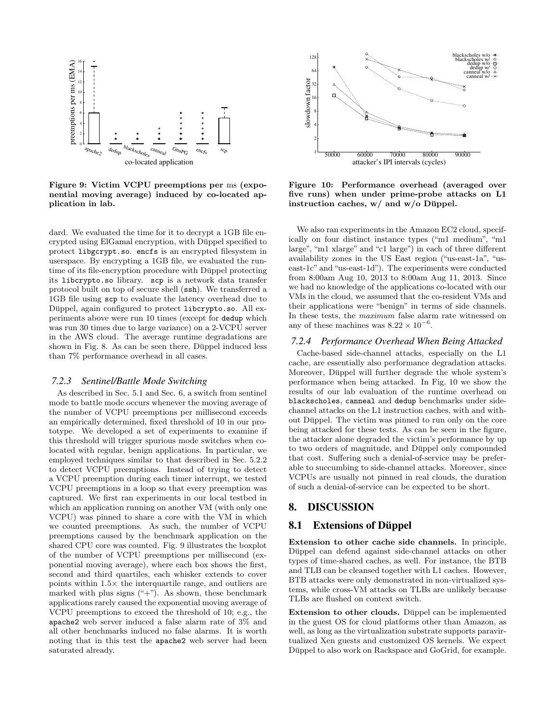

Figure 9: Victim VCPU preemptions per ms (exponential moving average) induced by co-located application in lab.

dard. We evaluated the time for it to decrypt a 1GB file encrypted using ElGamal encryption, with Düppel specified to protect libgcrypt.so. encfs is an encrypted filesystem in userspace. By encrypting a 1GB file, we evaluated the runtime of its file-encryption procedure with Düppel protecting its libcrypto.so library. scp is a network data transfer protocol built on top of secure shell (ssh). We transferred a 1GB file using scp to evaluate the latency overhead due to Düppel, again configured to protect libcrypto.so. All experiments above were run 10 times (except for dedup which was run 30 times due to large variance) on a 2-VCPU server in the AWS cloud. The average runtime degradations are shown in Fig. 8. As can be seen there, Düppel induced less than 7% performance overhead in all cases.

#### *7.2.3 Sentinel/Battle Mode Switching*

As described in Sec. 5.1 and Sec. 6, a switch from sentinel mode to battle mode occurs whenever the moving average of the number of VCPU preemptions per millisecond exceeds an empirically determined, fixed threshold of 10 in our prototype. We developed a set of experiments to examine if this threshold will trigger spurious mode switches when colocated with regular, benign applications. In particular, we employed techniques similar to that described in Sec. 5.2.2 to detect VCPU preemptions. Instead of trying to detect a VCPU preemption during each timer interrupt, we tested VCPU preemptions in a loop so that every preemption was captured. We first ran experiments in our local testbed in which an application running on another VM (with only one VCPU) was pinned to share a core with the VM in which we counted preemptions. As such, the number of VCPU preemptions caused by the benchmark application on the shared CPU core was counted. Fig. 9 illustrates the boxplot of the number of VCPU preemptions per millisecond (exponential moving average), where each box shows the first, second and third quartiles, each whisker extends to cover points within  $1.5\times$  the interquartile range, and outliers are marked with plus signs  $(4)$ . As shown, these benchmark applications rarely caused the exponential moving average of VCPU preemptions to exceed the threshold of 10; e.g., the apache2 web server induced a false alarm rate of 3% and all other benchmarks induced no false alarms. It is worth noting that in this test the apache2 web server had been saturated already.



Figure 10: Performance overhead (averaged over five runs) when under prime-probe attacks on L1 instruction caches,  $w/$  and  $w/$ o Düppel.

We also ran experiments in the Amazon EC2 cloud, specifically on four distinct instance types ("m1 medium", "m1 large", "m1 xlarge" and "c1 large") in each of three different availability zones in the US East region ("us-east-1a", "useast-1c" and "us-east-1d"). The experiments were conducted from 8:00am Aug 10, 2013 to 8:00am Aug 11, 2013. Since we had no knowledge of the applications co-located with our VMs in the cloud, we assumed that the co-resident VMs and their applications were "benign" in terms of side channels. In these tests, the maximum false alarm rate witnessed on any of these machines was  $8.22 \times 10^{-6}$ .

#### *7.2.4 Performance Overhead When Being Attacked*

Cache-based side-channel attacks, especially on the L1 cache, are essentially also performance degradation attacks. Moreover, Düppel will further degrade the whole system's performance when being attacked. In Fig. 10 we show the results of our lab evaluation of the runtime overhead on blackscholes, canneal and dedup benchmarks under sidechannel attacks on the L1 instruction caches, with and without Düppel. The victim was pinned to run only on the core being attacked for these tests. As can be seen in the figure, the attacker alone degraded the victim's performance by up to two orders of magnitude, and Düppel only compounded that cost. Suffering such a denial-of-service may be preferable to succumbing to side-channel attacks. Moreover, since VCPUs are usually not pinned in real clouds, the duration of such a denial-of-service can be expected to be short.

# 8. DISCUSSION

#### 8.1 Extensions of Düppel

Extension to other cache side channels. In principle, Düppel can defend against side-channel attacks on other types of time-shared caches, as well. For instance, the BTB and TLB can be cleansed together with L1 caches. However, BTB attacks were only demonstrated in non-virtualized systems, while cross-VM attacks on TLBs are unlikely because TLBs are flushed on context switch.

Extension to other clouds. Duppel can be implemented in the guest OS for cloud platforms other than Amazon, as well, as long as the virtualization substrate supports paravirtualized Xen guests and customized OS kernels. We expect Düppel to also work on Rackspace and GoGrid, for example.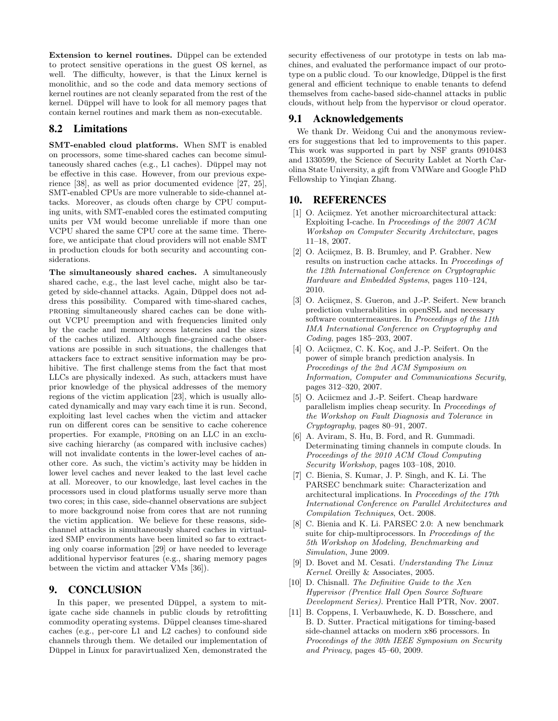Extension to kernel routines. Düppel can be extended to protect sensitive operations in the guest OS kernel, as well. The difficulty, however, is that the Linux kernel is monolithic, and so the code and data memory sections of kernel routines are not cleanly separated from the rest of the kernel. Düppel will have to look for all memory pages that contain kernel routines and mark them as non-executable.

# 8.2 Limitations

SMT-enabled cloud platforms. When SMT is enabled on processors, some time-shared caches can become simultaneously shared caches (e.g., L1 caches). Düppel may not be effective in this case. However, from our previous experience [38], as well as prior documented evidence [27, 25], SMT-enabled CPUs are more vulnerable to side-channel attacks. Moreover, as clouds often charge by CPU computing units, with SMT-enabled cores the estimated computing units per VM would become unreliable if more than one VCPU shared the same CPU core at the same time. Therefore, we anticipate that cloud providers will not enable SMT in production clouds for both security and accounting considerations.

The simultaneously shared caches. A simultaneously shared cache, e.g., the last level cache, might also be targeted by side-channel attacks. Again, Düppel does not address this possibility. Compared with time-shared caches, probing simultaneously shared caches can be done without VCPU preemption and with frequencies limited only by the cache and memory access latencies and the sizes of the caches utilized. Although fine-grained cache observations are possible in such situations, the challenges that attackers face to extract sensitive information may be prohibitive. The first challenge stems from the fact that most LLCs are physically indexed. As such, attackers must have prior knowledge of the physical addresses of the memory regions of the victim application [23], which is usually allocated dynamically and may vary each time it is run. Second, exploiting last level caches when the victim and attacker run on different cores can be sensitive to cache coherence properties. For example, probing on an LLC in an exclusive caching hierarchy (as compared with inclusive caches) will not invalidate contents in the lower-level caches of another core. As such, the victim's activity may be hidden in lower level caches and never leaked to the last level cache at all. Moreover, to our knowledge, last level caches in the processors used in cloud platforms usually serve more than two cores; in this case, side-channel observations are subject to more background noise from cores that are not running the victim application. We believe for these reasons, sidechannel attacks in simultaneously shared caches in virtualized SMP environments have been limited so far to extracting only coarse information [29] or have needed to leverage additional hypervisor features (e.g., sharing memory pages between the victim and attacker VMs [36]).

#### 9. CONCLUSION

In this paper, we presented Düppel, a system to mitigate cache side channels in public clouds by retrofitting commodity operating systems. Duppel cleanses time-shared caches (e.g., per-core L1 and L2 caches) to confound side channels through them. We detailed our implementation of Düppel in Linux for paravirtualized Xen, demonstrated the

security effectiveness of our prototype in tests on lab machines, and evaluated the performance impact of our prototype on a public cloud. To our knowledge, Düppel is the first general and efficient technique to enable tenants to defend themselves from cache-based side-channel attacks in public clouds, without help from the hypervisor or cloud operator.

### 9.1 Acknowledgements

We thank Dr. Weidong Cui and the anonymous reviewers for suggestions that led to improvements to this paper. This work was supported in part by NSF grants 0910483 and 1330599, the Science of Security Lablet at North Carolina State University, a gift from VMWare and Google PhD Fellowship to Yinqian Zhang.

# 10. REFERENCES

- [1] O. Aciicmez. Yet another microarchitectural attack: Exploiting I-cache. In Proceedings of the 2007 ACM Workshop on Computer Security Architecture, pages 11–18, 2007.
- [2] O. Aciiçmez, B. B. Brumley, and P. Grabher. New results on instruction cache attacks. In Proceedings of the 12th International Conference on Cryptographic Hardware and Embedded Systems, pages 110–124, 2010.
- [3] O. Aciiçmez, S. Gueron, and J.-P. Seifert. New branch prediction vulnerabilities in openSSL and necessary software countermeasures. In Proceedings of the 11th IMA International Conference on Cryptography and Coding, pages 185–203, 2007.
- [4] O. Aciiçmez, C. K. Koç, and J.-P. Seifert. On the power of simple branch prediction analysis. In Proceedings of the 2nd ACM Symposium on Information, Computer and Communications Security, pages 312–320, 2007.
- [5] O. Aciicmez and J.-P. Seifert. Cheap hardware parallelism implies cheap security. In Proceedings of the Workshop on Fault Diagnosis and Tolerance in Cryptography, pages 80–91, 2007.
- [6] A. Aviram, S. Hu, B. Ford, and R. Gummadi. Determinating timing channels in compute clouds. In Proceedings of the 2010 ACM Cloud Computing Security Workshop, pages 103–108, 2010.
- [7] C. Bienia, S. Kumar, J. P. Singh, and K. Li. The PARSEC benchmark suite: Characterization and architectural implications. In Proceedings of the 17th International Conference on Parallel Architectures and Compilation Techniques, Oct. 2008.
- [8] C. Bienia and K. Li. PARSEC 2.0: A new benchmark suite for chip-multiprocessors. In Proceedings of the 5th Workshop on Modeling, Benchmarking and Simulation, June 2009.
- [9] D. Bovet and M. Cesati. Understanding The Linux Kernel. Oreilly & Associates, 2005.
- [10] D. Chisnall. The Definitive Guide to the Xen Hypervisor (Prentice Hall Open Source Software Development Series). Prentice Hall PTR, Nov. 2007.
- [11] B. Coppens, I. Verbauwhede, K. D. Bosschere, and B. D. Sutter. Practical mitigations for timing-based side-channel attacks on modern x86 processors. In Proceedings of the 30th IEEE Symposium on Security and Privacy, pages 45–60, 2009.